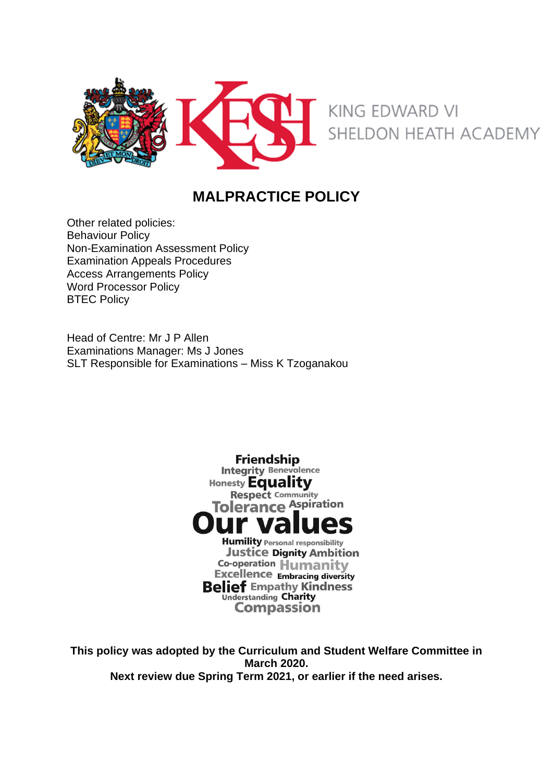

# **MALPRACTICE POLICY**

Other related policies: Behaviour Policy Non-Examination Assessment Policy Examination Appeals Procedures Access Arrangements Policy Word Processor Policy **BTEC Policy** 

Head of Centre: Mr J P Allen Examinations Manager: Ms J Jones SLT Responsible for Examinations – Miss K Tzoganakou



**This policy was adopted by the Curriculum and Student Welfare Committee in March 2020. Next review due Spring Term 2021, or earlier if the need arises.**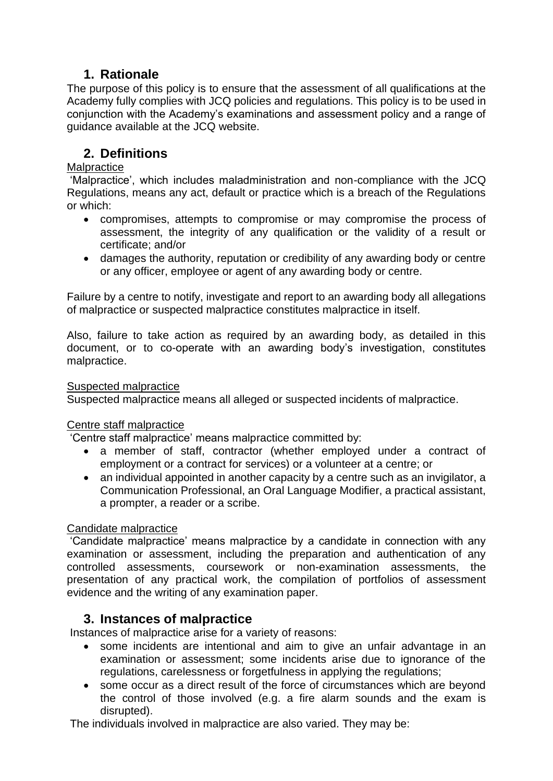## **1. Rationale**

The purpose of this policy is to ensure that the assessment of all qualifications at the Academy fully complies with JCQ policies and regulations. This policy is to be used in conjunction with the Academy's examinations and assessment policy and a range of guidance available at the JCQ website.

## **2. Definitions**

### **Malpractice**

'Malpractice', which includes maladministration and non-compliance with the JCQ Regulations, means any act, default or practice which is a breach of the Regulations or which:

- compromises, attempts to compromise or may compromise the process of assessment, the integrity of any qualification or the validity of a result or certificate; and/or
- damages the authority, reputation or credibility of any awarding body or centre or any officer, employee or agent of any awarding body or centre.

Failure by a centre to notify, investigate and report to an awarding body all allegations of malpractice or suspected malpractice constitutes malpractice in itself.

Also, failure to take action as required by an awarding body, as detailed in this document, or to co-operate with an awarding body's investigation, constitutes malpractice.

#### Suspected malpractice

Suspected malpractice means all alleged or suspected incidents of malpractice.

## Centre staff malpractice

'Centre staff malpractice' means malpractice committed by:

- a member of staff, contractor (whether employed under a contract of employment or a contract for services) or a volunteer at a centre; or
- an individual appointed in another capacity by a centre such as an invigilator, a Communication Professional, an Oral Language Modifier, a practical assistant, a prompter, a reader or a scribe.

## Candidate malpractice

'Candidate malpractice' means malpractice by a candidate in connection with any examination or assessment, including the preparation and authentication of any controlled assessments, coursework or non-examination assessments, the presentation of any practical work, the compilation of portfolios of assessment evidence and the writing of any examination paper.

## **3. Instances of malpractice**

Instances of malpractice arise for a variety of reasons:

- some incidents are intentional and aim to give an unfair advantage in an examination or assessment; some incidents arise due to ignorance of the regulations, carelessness or forgetfulness in applying the regulations;
- some occur as a direct result of the force of circumstances which are beyond the control of those involved (e.g. a fire alarm sounds and the exam is disrupted).

The individuals involved in malpractice are also varied. They may be: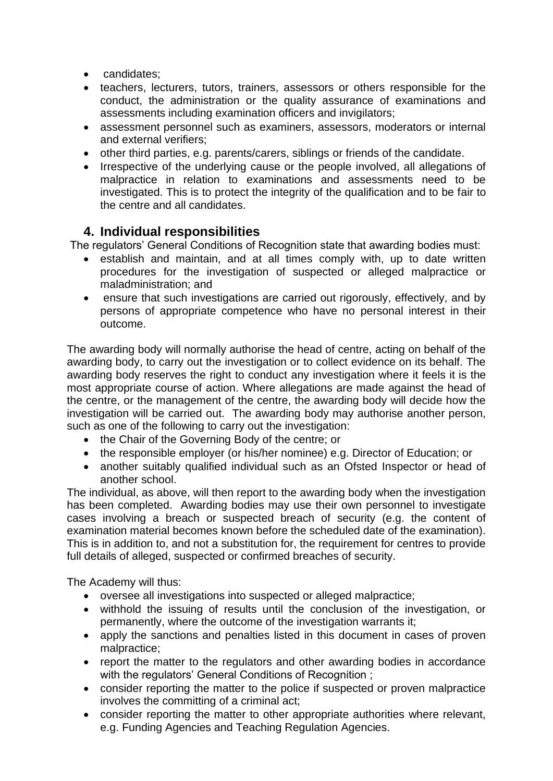- candidates;
- teachers, lecturers, tutors, trainers, assessors or others responsible for the conduct, the administration or the quality assurance of examinations and assessments including examination officers and invigilators;
- assessment personnel such as examiners, assessors, moderators or internal and external verifiers;
- other third parties, e.g. parents/carers, siblings or friends of the candidate.
- Irrespective of the underlying cause or the people involved, all allegations of malpractice in relation to examinations and assessments need to be investigated. This is to protect the integrity of the qualification and to be fair to the centre and all candidates.

## **4. Individual responsibilities**

The regulators' General Conditions of Recognition state that awarding bodies must:

- establish and maintain, and at all times comply with, up to date written procedures for the investigation of suspected or alleged malpractice or maladministration; and
- ensure that such investigations are carried out rigorously, effectively, and by persons of appropriate competence who have no personal interest in their outcome.

The awarding body will normally authorise the head of centre, acting on behalf of the awarding body, to carry out the investigation or to collect evidence on its behalf. The awarding body reserves the right to conduct any investigation where it feels it is the most appropriate course of action. Where allegations are made against the head of the centre, or the management of the centre, the awarding body will decide how the investigation will be carried out. The awarding body may authorise another person, such as one of the following to carry out the investigation:

- the Chair of the Governing Body of the centre; or
- the responsible employer (or his/her nominee) e.g. Director of Education; or
- another suitably qualified individual such as an Ofsted Inspector or head of another school.

The individual, as above, will then report to the awarding body when the investigation has been completed. Awarding bodies may use their own personnel to investigate cases involving a breach or suspected breach of security (e.g. the content of examination material becomes known before the scheduled date of the examination). This is in addition to, and not a substitution for, the requirement for centres to provide full details of alleged, suspected or confirmed breaches of security.

The Academy will thus:

- oversee all investigations into suspected or alleged malpractice;
- withhold the issuing of results until the conclusion of the investigation, or permanently, where the outcome of the investigation warrants it;
- apply the sanctions and penalties listed in this document in cases of proven malpractice;
- report the matter to the regulators and other awarding bodies in accordance with the regulators' General Conditions of Recognition ;
- consider reporting the matter to the police if suspected or proven malpractice involves the committing of a criminal act;
- consider reporting the matter to other appropriate authorities where relevant, e.g. Funding Agencies and Teaching Regulation Agencies.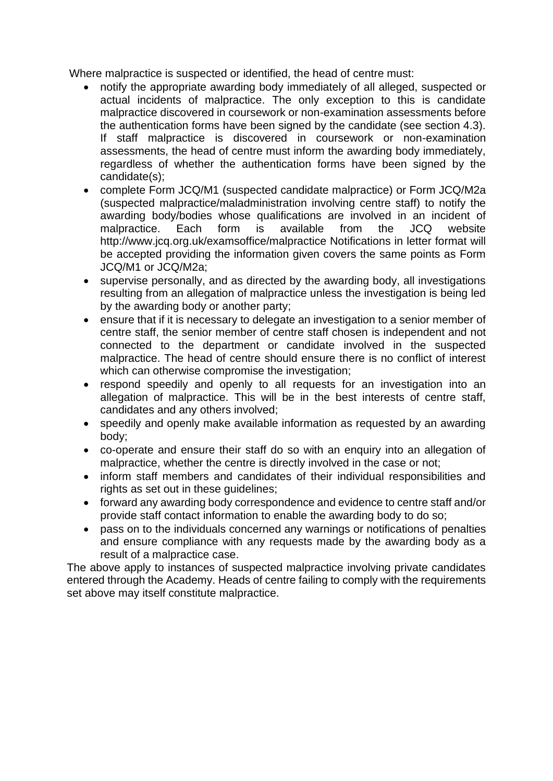Where malpractice is suspected or identified, the head of centre must:

- notify the appropriate awarding body immediately of all alleged, suspected or actual incidents of malpractice. The only exception to this is candidate malpractice discovered in coursework or non-examination assessments before the authentication forms have been signed by the candidate (see section 4.3). If staff malpractice is discovered in coursework or non-examination assessments, the head of centre must inform the awarding body immediately, regardless of whether the authentication forms have been signed by the candidate(s);
- complete Form JCQ/M1 (suspected candidate malpractice) or Form JCQ/M2a (suspected malpractice/maladministration involving centre staff) to notify the awarding body/bodies whose qualifications are involved in an incident of malpractice. Each form is available from the JCQ website http://www.jcq.org.uk/examsoffice/malpractice Notifications in letter format will be accepted providing the information given covers the same points as Form JCQ/M1 or JCQ/M2a;
- supervise personally, and as directed by the awarding body, all investigations resulting from an allegation of malpractice unless the investigation is being led by the awarding body or another party;
- ensure that if it is necessary to delegate an investigation to a senior member of centre staff, the senior member of centre staff chosen is independent and not connected to the department or candidate involved in the suspected malpractice. The head of centre should ensure there is no conflict of interest which can otherwise compromise the investigation;
- respond speedily and openly to all requests for an investigation into an allegation of malpractice. This will be in the best interests of centre staff, candidates and any others involved;
- speedily and openly make available information as requested by an awarding body;
- co-operate and ensure their staff do so with an enquiry into an allegation of malpractice, whether the centre is directly involved in the case or not;
- inform staff members and candidates of their individual responsibilities and rights as set out in these guidelines;
- forward any awarding body correspondence and evidence to centre staff and/or provide staff contact information to enable the awarding body to do so;
- pass on to the individuals concerned any warnings or notifications of penalties and ensure compliance with any requests made by the awarding body as a result of a malpractice case.

The above apply to instances of suspected malpractice involving private candidates entered through the Academy. Heads of centre failing to comply with the requirements set above may itself constitute malpractice.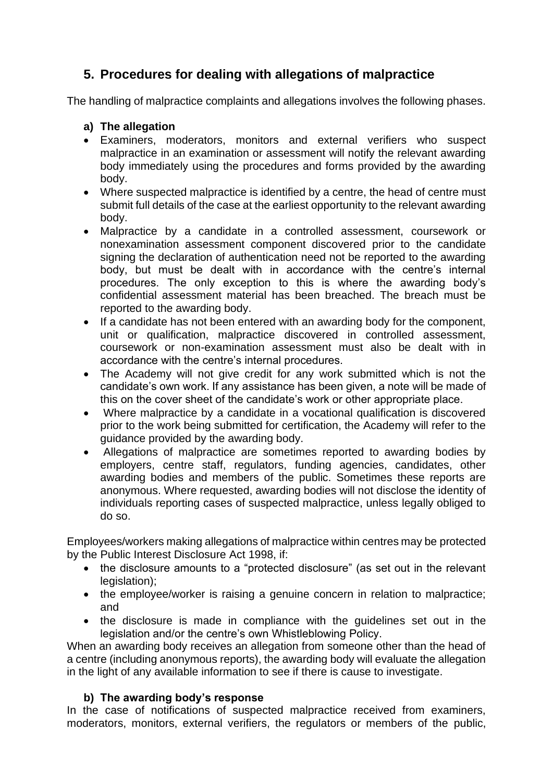## **5. Procedures for dealing with allegations of malpractice**

The handling of malpractice complaints and allegations involves the following phases.

### **a) The allegation**

- Examiners, moderators, monitors and external verifiers who suspect malpractice in an examination or assessment will notify the relevant awarding body immediately using the procedures and forms provided by the awarding body.
- Where suspected malpractice is identified by a centre, the head of centre must submit full details of the case at the earliest opportunity to the relevant awarding body.
- Malpractice by a candidate in a controlled assessment, coursework or nonexamination assessment component discovered prior to the candidate signing the declaration of authentication need not be reported to the awarding body, but must be dealt with in accordance with the centre's internal procedures. The only exception to this is where the awarding body's confidential assessment material has been breached. The breach must be reported to the awarding body.
- If a candidate has not been entered with an awarding body for the component, unit or qualification, malpractice discovered in controlled assessment, coursework or non-examination assessment must also be dealt with in accordance with the centre's internal procedures.
- The Academy will not give credit for any work submitted which is not the candidate's own work. If any assistance has been given, a note will be made of this on the cover sheet of the candidate's work or other appropriate place.
- Where malpractice by a candidate in a vocational qualification is discovered prior to the work being submitted for certification, the Academy will refer to the guidance provided by the awarding body.
- Allegations of malpractice are sometimes reported to awarding bodies by employers, centre staff, regulators, funding agencies, candidates, other awarding bodies and members of the public. Sometimes these reports are anonymous. Where requested, awarding bodies will not disclose the identity of individuals reporting cases of suspected malpractice, unless legally obliged to do so.

Employees/workers making allegations of malpractice within centres may be protected by the Public Interest Disclosure Act 1998, if:

- the disclosure amounts to a "protected disclosure" (as set out in the relevant legislation);
- the employee/worker is raising a genuine concern in relation to malpractice; and
- the disclosure is made in compliance with the guidelines set out in the legislation and/or the centre's own Whistleblowing Policy.

When an awarding body receives an allegation from someone other than the head of a centre (including anonymous reports), the awarding body will evaluate the allegation in the light of any available information to see if there is cause to investigate.

## **b) The awarding body's response**

In the case of notifications of suspected malpractice received from examiners, moderators, monitors, external verifiers, the regulators or members of the public,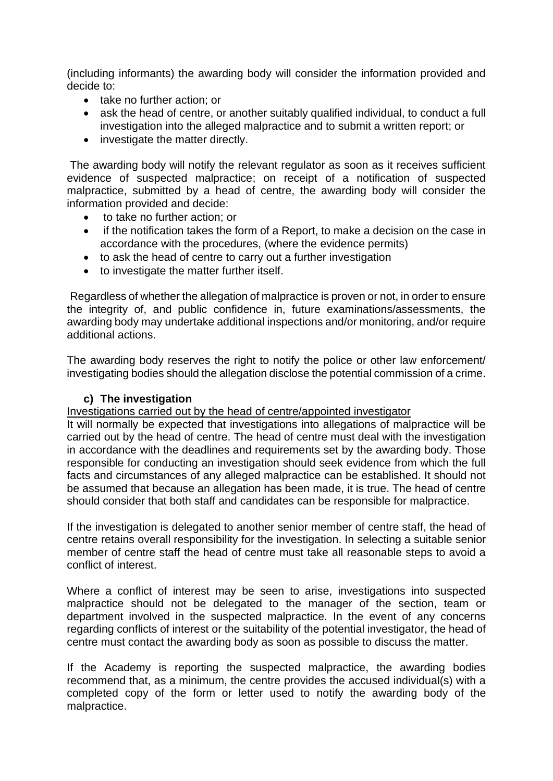(including informants) the awarding body will consider the information provided and decide to:

- take no further action; or
- ask the head of centre, or another suitably qualified individual, to conduct a full investigation into the alleged malpractice and to submit a written report; or
- investigate the matter directly.

The awarding body will notify the relevant regulator as soon as it receives sufficient evidence of suspected malpractice; on receipt of a notification of suspected malpractice, submitted by a head of centre, the awarding body will consider the information provided and decide:

- to take no further action; or
- if the notification takes the form of a Report, to make a decision on the case in accordance with the procedures, (where the evidence permits)
- to ask the head of centre to carry out a further investigation
- to investigate the matter further itself.

Regardless of whether the allegation of malpractice is proven or not, in order to ensure the integrity of, and public confidence in, future examinations/assessments, the awarding body may undertake additional inspections and/or monitoring, and/or require additional actions.

The awarding body reserves the right to notify the police or other law enforcement/ investigating bodies should the allegation disclose the potential commission of a crime.

#### **c) The investigation**

Investigations carried out by the head of centre/appointed investigator

It will normally be expected that investigations into allegations of malpractice will be carried out by the head of centre. The head of centre must deal with the investigation in accordance with the deadlines and requirements set by the awarding body. Those responsible for conducting an investigation should seek evidence from which the full facts and circumstances of any alleged malpractice can be established. It should not be assumed that because an allegation has been made, it is true. The head of centre should consider that both staff and candidates can be responsible for malpractice.

If the investigation is delegated to another senior member of centre staff, the head of centre retains overall responsibility for the investigation. In selecting a suitable senior member of centre staff the head of centre must take all reasonable steps to avoid a conflict of interest.

Where a conflict of interest may be seen to arise, investigations into suspected malpractice should not be delegated to the manager of the section, team or department involved in the suspected malpractice. In the event of any concerns regarding conflicts of interest or the suitability of the potential investigator, the head of centre must contact the awarding body as soon as possible to discuss the matter.

If the Academy is reporting the suspected malpractice, the awarding bodies recommend that, as a minimum, the centre provides the accused individual(s) with a completed copy of the form or letter used to notify the awarding body of the malpractice.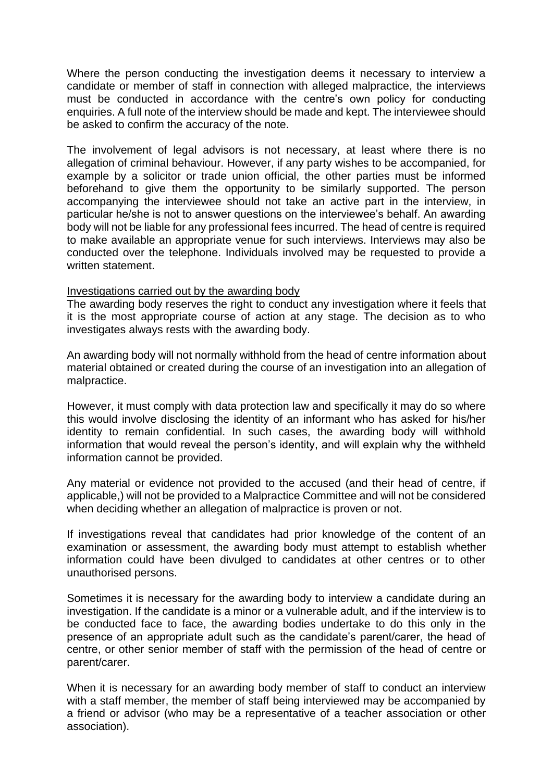Where the person conducting the investigation deems it necessary to interview a candidate or member of staff in connection with alleged malpractice, the interviews must be conducted in accordance with the centre's own policy for conducting enquiries. A full note of the interview should be made and kept. The interviewee should be asked to confirm the accuracy of the note.

The involvement of legal advisors is not necessary, at least where there is no allegation of criminal behaviour. However, if any party wishes to be accompanied, for example by a solicitor or trade union official, the other parties must be informed beforehand to give them the opportunity to be similarly supported. The person accompanying the interviewee should not take an active part in the interview, in particular he/she is not to answer questions on the interviewee's behalf. An awarding body will not be liable for any professional fees incurred. The head of centre is required to make available an appropriate venue for such interviews. Interviews may also be conducted over the telephone. Individuals involved may be requested to provide a written statement.

#### Investigations carried out by the awarding body

The awarding body reserves the right to conduct any investigation where it feels that it is the most appropriate course of action at any stage. The decision as to who investigates always rests with the awarding body.

An awarding body will not normally withhold from the head of centre information about material obtained or created during the course of an investigation into an allegation of malpractice.

However, it must comply with data protection law and specifically it may do so where this would involve disclosing the identity of an informant who has asked for his/her identity to remain confidential. In such cases, the awarding body will withhold information that would reveal the person's identity, and will explain why the withheld information cannot be provided.

Any material or evidence not provided to the accused (and their head of centre, if applicable,) will not be provided to a Malpractice Committee and will not be considered when deciding whether an allegation of malpractice is proven or not.

If investigations reveal that candidates had prior knowledge of the content of an examination or assessment, the awarding body must attempt to establish whether information could have been divulged to candidates at other centres or to other unauthorised persons.

Sometimes it is necessary for the awarding body to interview a candidate during an investigation. If the candidate is a minor or a vulnerable adult, and if the interview is to be conducted face to face, the awarding bodies undertake to do this only in the presence of an appropriate adult such as the candidate's parent/carer, the head of centre, or other senior member of staff with the permission of the head of centre or parent/carer.

When it is necessary for an awarding body member of staff to conduct an interview with a staff member, the member of staff being interviewed may be accompanied by a friend or advisor (who may be a representative of a teacher association or other association).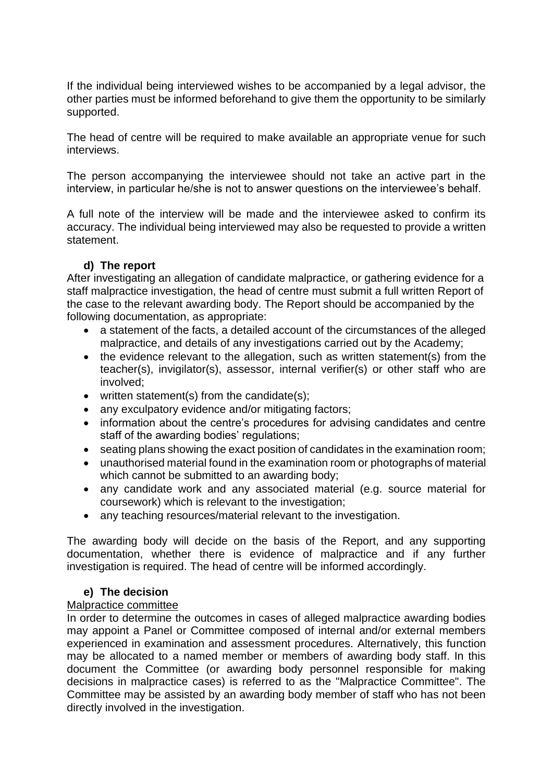If the individual being interviewed wishes to be accompanied by a legal advisor, the other parties must be informed beforehand to give them the opportunity to be similarly supported.

The head of centre will be required to make available an appropriate venue for such interviews.

The person accompanying the interviewee should not take an active part in the interview, in particular he/she is not to answer questions on the interviewee's behalf.

A full note of the interview will be made and the interviewee asked to confirm its accuracy. The individual being interviewed may also be requested to provide a written statement.

#### **d) The report**

After investigating an allegation of candidate malpractice, or gathering evidence for a staff malpractice investigation, the head of centre must submit a full written Report of the case to the relevant awarding body. The Report should be accompanied by the following documentation, as appropriate:

- a statement of the facts, a detailed account of the circumstances of the alleged malpractice, and details of any investigations carried out by the Academy;
- the evidence relevant to the allegation, such as written statement(s) from the teacher(s), invigilator(s), assessor, internal verifier(s) or other staff who are involved;
- written statement(s) from the candidate(s);
- any exculpatory evidence and/or mitigating factors;
- information about the centre's procedures for advising candidates and centre staff of the awarding bodies' regulations;
- seating plans showing the exact position of candidates in the examination room;
- unauthorised material found in the examination room or photographs of material which cannot be submitted to an awarding body:
- any candidate work and any associated material (e.g. source material for coursework) which is relevant to the investigation;
- any teaching resources/material relevant to the investigation.

The awarding body will decide on the basis of the Report, and any supporting documentation, whether there is evidence of malpractice and if any further investigation is required. The head of centre will be informed accordingly.

#### **e) The decision**

#### Malpractice committee

In order to determine the outcomes in cases of alleged malpractice awarding bodies may appoint a Panel or Committee composed of internal and/or external members experienced in examination and assessment procedures. Alternatively, this function may be allocated to a named member or members of awarding body staff. In this document the Committee (or awarding body personnel responsible for making decisions in malpractice cases) is referred to as the "Malpractice Committee". The Committee may be assisted by an awarding body member of staff who has not been directly involved in the investigation.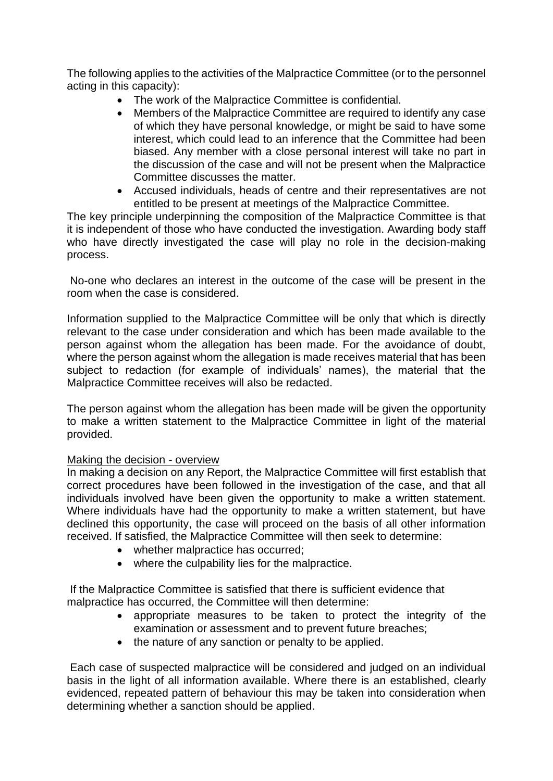The following applies to the activities of the Malpractice Committee (or to the personnel acting in this capacity):

- The work of the Malpractice Committee is confidential.
- Members of the Malpractice Committee are required to identify any case of which they have personal knowledge, or might be said to have some interest, which could lead to an inference that the Committee had been biased. Any member with a close personal interest will take no part in the discussion of the case and will not be present when the Malpractice Committee discusses the matter.
- Accused individuals, heads of centre and their representatives are not entitled to be present at meetings of the Malpractice Committee.

The key principle underpinning the composition of the Malpractice Committee is that it is independent of those who have conducted the investigation. Awarding body staff who have directly investigated the case will play no role in the decision-making process.

No-one who declares an interest in the outcome of the case will be present in the room when the case is considered.

Information supplied to the Malpractice Committee will be only that which is directly relevant to the case under consideration and which has been made available to the person against whom the allegation has been made. For the avoidance of doubt, where the person against whom the allegation is made receives material that has been subject to redaction (for example of individuals' names), the material that the Malpractice Committee receives will also be redacted.

The person against whom the allegation has been made will be given the opportunity to make a written statement to the Malpractice Committee in light of the material provided.

#### Making the decision - overview

In making a decision on any Report, the Malpractice Committee will first establish that correct procedures have been followed in the investigation of the case, and that all individuals involved have been given the opportunity to make a written statement. Where individuals have had the opportunity to make a written statement, but have declined this opportunity, the case will proceed on the basis of all other information received. If satisfied, the Malpractice Committee will then seek to determine:

- whether malpractice has occurred;
- where the culpability lies for the malpractice.

If the Malpractice Committee is satisfied that there is sufficient evidence that malpractice has occurred, the Committee will then determine:

- appropriate measures to be taken to protect the integrity of the examination or assessment and to prevent future breaches;
- the nature of any sanction or penalty to be applied.

Each case of suspected malpractice will be considered and judged on an individual basis in the light of all information available. Where there is an established, clearly evidenced, repeated pattern of behaviour this may be taken into consideration when determining whether a sanction should be applied.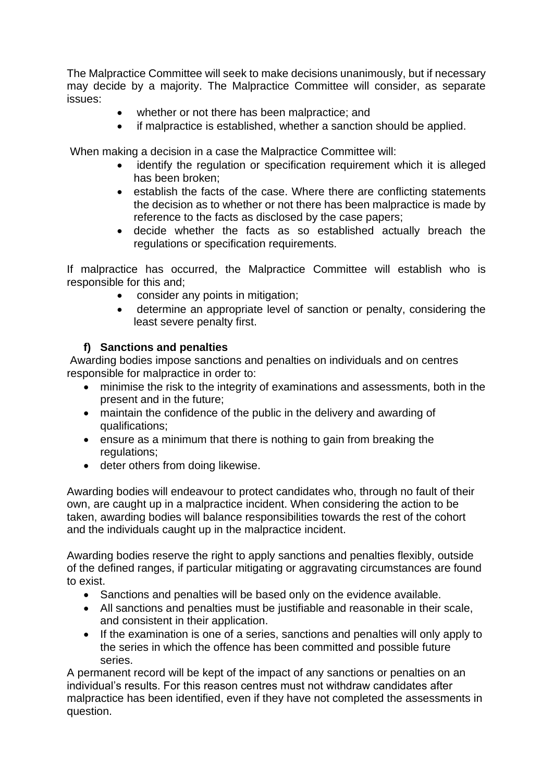The Malpractice Committee will seek to make decisions unanimously, but if necessary may decide by a majority. The Malpractice Committee will consider, as separate issues:

- whether or not there has been malpractice; and
- if malpractice is established, whether a sanction should be applied.

When making a decision in a case the Malpractice Committee will:

- identify the regulation or specification requirement which it is alleged has been broken;
- establish the facts of the case. Where there are conflicting statements the decision as to whether or not there has been malpractice is made by reference to the facts as disclosed by the case papers;
- decide whether the facts as so established actually breach the regulations or specification requirements.

If malpractice has occurred, the Malpractice Committee will establish who is responsible for this and;

- consider any points in mitigation;
- determine an appropriate level of sanction or penalty, considering the least severe penalty first.

## **f) Sanctions and penalties**

Awarding bodies impose sanctions and penalties on individuals and on centres responsible for malpractice in order to:

- minimise the risk to the integrity of examinations and assessments, both in the present and in the future;
- maintain the confidence of the public in the delivery and awarding of qualifications;
- ensure as a minimum that there is nothing to gain from breaking the regulations:
- deter others from doing likewise.

Awarding bodies will endeavour to protect candidates who, through no fault of their own, are caught up in a malpractice incident. When considering the action to be taken, awarding bodies will balance responsibilities towards the rest of the cohort and the individuals caught up in the malpractice incident.

Awarding bodies reserve the right to apply sanctions and penalties flexibly, outside of the defined ranges, if particular mitigating or aggravating circumstances are found to exist.

- Sanctions and penalties will be based only on the evidence available.
- All sanctions and penalties must be justifiable and reasonable in their scale, and consistent in their application.
- If the examination is one of a series, sanctions and penalties will only apply to the series in which the offence has been committed and possible future series.

A permanent record will be kept of the impact of any sanctions or penalties on an individual's results. For this reason centres must not withdraw candidates after malpractice has been identified, even if they have not completed the assessments in question.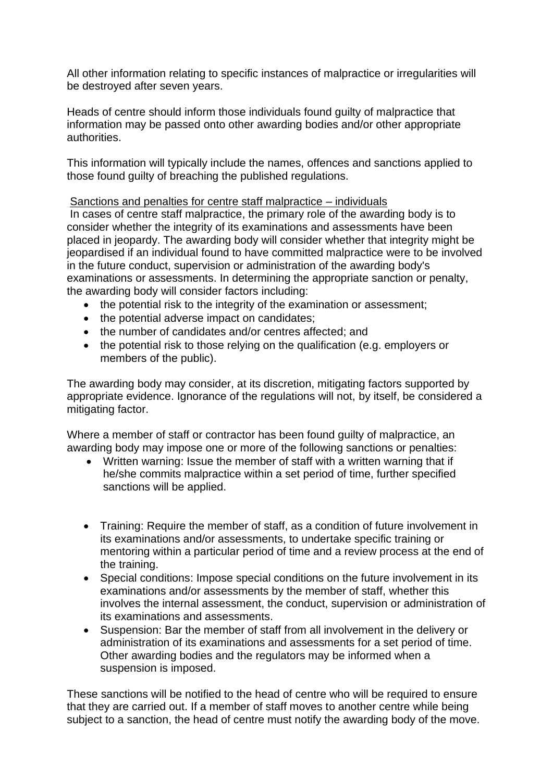All other information relating to specific instances of malpractice or irregularities will be destroyed after seven years.

Heads of centre should inform those individuals found guilty of malpractice that information may be passed onto other awarding bodies and/or other appropriate authorities.

This information will typically include the names, offences and sanctions applied to those found guilty of breaching the published regulations.

#### Sanctions and penalties for centre staff malpractice – individuals

In cases of centre staff malpractice, the primary role of the awarding body is to consider whether the integrity of its examinations and assessments have been placed in jeopardy. The awarding body will consider whether that integrity might be jeopardised if an individual found to have committed malpractice were to be involved in the future conduct, supervision or administration of the awarding body's examinations or assessments. In determining the appropriate sanction or penalty, the awarding body will consider factors including:

- the potential risk to the integrity of the examination or assessment;
- the potential adverse impact on candidates;
- the number of candidates and/or centres affected; and
- the potential risk to those relying on the qualification (e.g. employers or members of the public).

The awarding body may consider, at its discretion, mitigating factors supported by appropriate evidence. Ignorance of the regulations will not, by itself, be considered a mitigating factor.

Where a member of staff or contractor has been found guilty of malpractice, an awarding body may impose one or more of the following sanctions or penalties:

- Written warning: Issue the member of staff with a written warning that if he/she commits malpractice within a set period of time, further specified sanctions will be applied.
- Training: Require the member of staff, as a condition of future involvement in its examinations and/or assessments, to undertake specific training or mentoring within a particular period of time and a review process at the end of the training.
- Special conditions: Impose special conditions on the future involvement in its examinations and/or assessments by the member of staff, whether this involves the internal assessment, the conduct, supervision or administration of its examinations and assessments.
- Suspension: Bar the member of staff from all involvement in the delivery or administration of its examinations and assessments for a set period of time. Other awarding bodies and the regulators may be informed when a suspension is imposed.

These sanctions will be notified to the head of centre who will be required to ensure that they are carried out. If a member of staff moves to another centre while being subject to a sanction, the head of centre must notify the awarding body of the move.